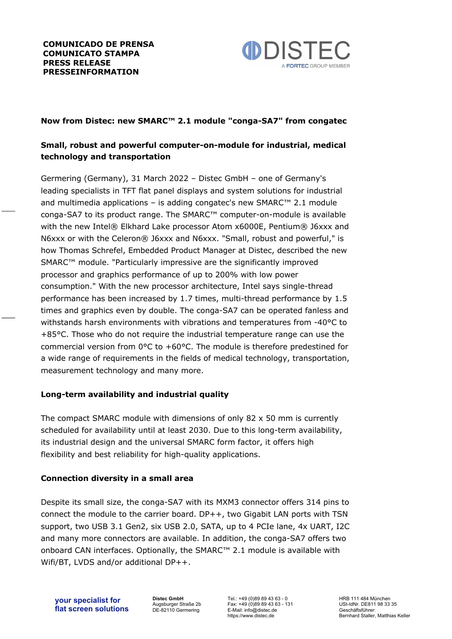

## **Now from Distec: new SMARC™ 2.1 module "conga-SA7" from congatec**

# **Small, robust and powerful computer-on-module for industrial, medical technology and transportation**

Germering (Germany), 31 March 2022 – Distec GmbH – one of Germany's leading specialists in TFT flat panel displays and system solutions for industrial and multimedia applications – is adding congatec's new SMARC™ 2.1 module conga-SA7 to its product range. The SMARC™ computer-on-module is available with the new Intel® Elkhard Lake processor Atom x6000E, Pentium® J6xxx and N6xxx or with the Celeron® J6xxx and N6xxx. "Small, robust and powerful," is how Thomas Schrefel, Embedded Product Manager at Distec, described the new SMARC™ module. "Particularly impressive are the significantly improved processor and graphics performance of up to 200% with low power consumption." With the new processor architecture, Intel says single-thread performance has been increased by 1.7 times, multi-thread performance by 1.5 times and graphics even by double. The conga-SA7 can be operated fanless and withstands harsh environments with vibrations and temperatures from -40°C to +85°C. Those who do not require the industrial temperature range can use the commercial version from  $0^{\circ}$ C to  $+60^{\circ}$ C. The module is therefore predestined for a wide range of requirements in the fields of medical technology, transportation, measurement technology and many more.

## **Long-term availability and industrial quality**

The compact SMARC module with dimensions of only 82 x 50 mm is currently scheduled for availability until at least 2030. Due to this long-term availability, its industrial design and the universal SMARC form factor, it offers high flexibility and best reliability for high-quality applications.

## **Connection diversity in a small area**

Despite its small size, the conga-SA7 with its MXM3 connector offers 314 pins to connect the module to the carrier board. DP++, two Gigabit LAN ports with TSN support, two USB 3.1 Gen2, six USB 2.0, SATA, up to 4 PCIe lane, 4x UART, I2C and many more connectors are available. In addition, the conga-SA7 offers two onboard CAN interfaces. Optionally, the SMARC™ 2.1 module is available with Wifi/BT, LVDS and/or additional DP++.

**your specialist for flat screen solutions** **Distec GmbH** Augsburger Straße 2b DE-82110 Germering Tel.: +49 (0)89 89 43 63 - 0 Fax: +49 (0)89 89 43 63 - 131 E-Mail: info@distec.de https://www.distec.de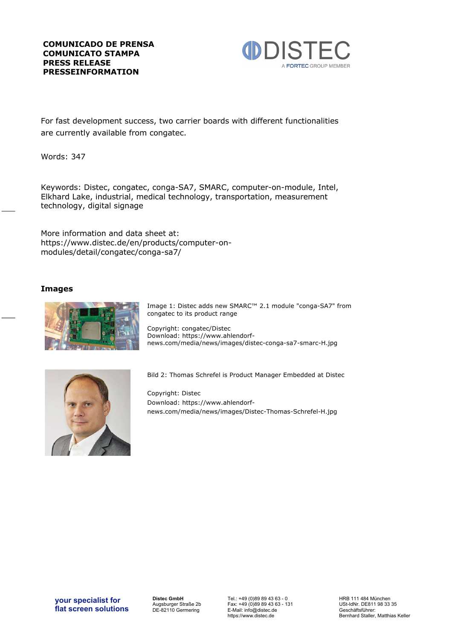

For fast development success, two carrier boards with different functionalities are currently available from congatec.

Words: 347

Keywords: Distec, congatec, conga-SA7, SMARC, computer-on-module, Intel, Elkhard Lake, industrial, medical technology, transportation, measurement technology, digital signage

More information and data sheet at: https://www.distec.de/en/products/computer-onmodules/detail/congatec/conga-sa7/

### **Images**



Image 1: Distec adds new SMARC™ 2.1 module "conga-SA7" from congatec to its product range

Copyright: congatec/Distec Download: https://www.ahlendorfnews.com/media/news/images/distec-conga-sa7-smarc-H.jpg



Bild 2: Thomas Schrefel is Product Manager Embedded at Distec

Copyright: Distec Download: https://www.ahlendorfnews.com/media/news/images/Distec-Thomas-Schrefel-H.jpg

**Distec GmbH** Augsburger Straße 2b DE-82110 Germering Tel.: +49 (0)89 89 43 63 - 0 Fax: +49 (0)89 89 43 63 - 131 E-Mail: info@distec.de https://www.distec.de